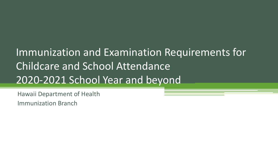# Immunization and Examination Requirements for Childcare and School Attendance 2020-2021 School Year and beyond

Hawaii Department of Health

Immunization Branch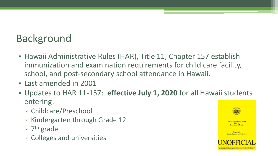# Background

- Hawaii Administrative Rules (HAR), Title 11, Chapter 157 establish immunization and examination requirements for child care facility, school, and post-secondary school attendance in Hawaii.
- Last amended in 2001
- Updates to HAR 11-157: **effective July 1, 2020** for all Hawaii students entering:
	- Childcare/Preschool
	- Kindergarten through Grade 12
	- $\overline{ }$  7<sup>th</sup> grade
	- Colleges and universities

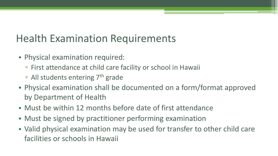### Health Examination Requirements

- Physical examination required:
	- First attendance at child care facility or school in Hawaii
	- □ All students entering 7<sup>th</sup> grade
- Physical examination shall be documented on a form/format approved by Department of Health
- Must be within 12 months before date of first attendance
- Must be signed by practitioner performing examination
- Valid physical examination may be used for transfer to other child care facilities or schools in Hawaii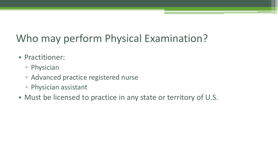# Who may perform Physical Examination?

- Practitioner:
	- Physician
	- Advanced practice registered nurse
	- Physician assistant
- Must be licensed to practice in any state or territory of U.S.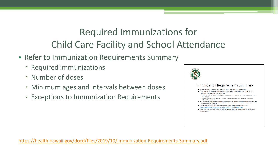#### Required Immunizations for Child Care Facility and School Attendance

- Refer to Immunization Requirements Summary
	- Required immunizations
	- Number of doses
	- Minimum ages and intervals between doses
	- Exceptions to Immunization Requirements

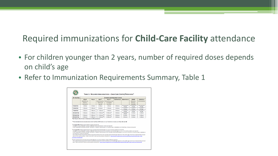#### Required immunizations for **Child-Care Facility** attendance

- For children younger than 2 years, number of required doses depends on child's age
- Refer to Immunization Requirements Summary, Table 1

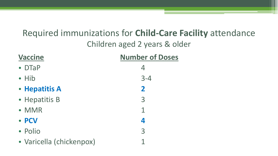### Required immunizations for **Child-Care Facility** attendance Children aged 2 years & older

| <b>Vaccine</b>           | <b>Number of Doses</b> |
|--------------------------|------------------------|
| $\bullet$ DTaP           | 4                      |
| $\bullet$ Hib            | $3 - 4$                |
| • Hepatitis A            | $\mathbf{2}$           |
| • Hepatitis B            | 3                      |
| • MMR                    | 1                      |
| • PCV                    | 4                      |
| • Polio                  | 3                      |
| · Varicella (chickenpox) |                        |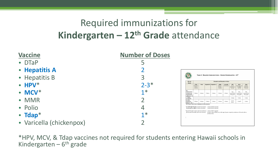#### Required immunizations for **Kindergarten – 12th Grade** attendance



\*HPV, MCV, & Tdap vaccines not required for students entering Hawaii schools in Kindergarten –  $6<sup>th</sup>$  grade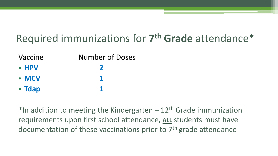# Required immunizations for **7th Grade** attendance\*

| Vaccine       | <b>Number of Doses</b> |
|---------------|------------------------|
| $\bullet$ HPV |                        |
| $\bullet$ MCV |                        |
| • Tdap        |                        |

\*In addition to meeting the Kindergarten  $-12$ <sup>th</sup> Grade immunization requirements upon first school attendance, **ALL** students must have documentation of these vaccinations prior to 7<sup>th</sup> grade attendance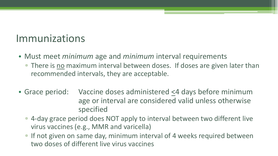#### Immunizations

- Must meet *minimum* age and *minimum* interval requirements
	- There is no maximum interval between doses. If doses are given later than recommended intervals, they are acceptable.
- Grace period: Vaccine doses administered <4 days before minimum age or interval are considered valid unless otherwise specified
	- 4-day grace period does NOT apply to interval between two different live virus vaccines (e.g., MMR and varicella)
	- □ If not given on same day, minimum interval of 4 weeks required between two doses of different live virus vaccines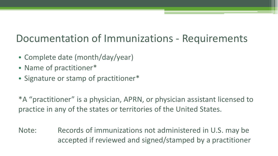### Documentation of Immunizations - Requirements

- Complete date (month/day/year)
- Name of practitioner\*
- Signature or stamp of practitioner\*

\*A "practitioner" is a physician, APRN, or physician assistant licensed to practice in any of the states or territories of the United States.

Note: Records of immunizations not administered in U.S. may be accepted if reviewed and signed/stamped by a practitioner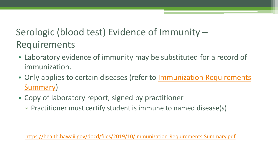### Serologic (blood test) Evidence of Immunity – Requirements

- Laboratory evidence of immunity may be substituted for a record of immunization.
- Only applies to certain diseases (refer to Immunization Requirements Summary)
- Copy of laboratory report, signed by practitioner
	- Practitioner must certify student is immune to named disease(s)

<https://health.hawaii.gov/docd/files/2019/10/Immunization-Requirements-Summary.pdf>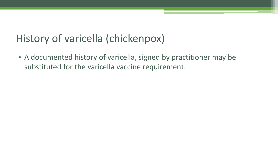### History of varicella (chickenpox)

• A documented history of varicella, signed by practitioner may be substituted for the varicella vaccine requirement.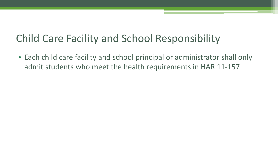### Child Care Facility and School Responsibility

• Each child care facility and school principal or administrator shall only admit students who meet the health requirements in HAR 11-157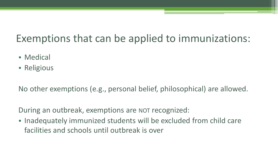# Exemptions that can be applied to immunizations:

- Medical
- Religious

No other exemptions (e.g., personal belief, philosophical) are allowed.

During an outbreak, exemptions are NOT recognized:

• Inadequately immunized students will be excluded from child care facilities and schools until outbreak is over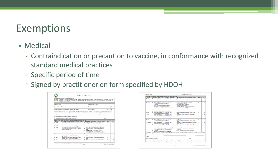### Exemptions

- Medical
	- Contraindication or precaution to vaccine, in conformance with recognized standard medical practices
	- Specific period of time
	- Signed by practitioner on form specified by HDOH

|                               | Instructions for completing Medical Exemption Form:<br>Section 1: Completed by parent/guardian or student (aged >18 years): Enter child care facility, school, or post-secondary school, and student information<br>Section 2: Completed by licensed health care provider (MD, DO, ND, APRN-Rx, PA): Check exempted vaccine, contraindication or precaution, or both, and<br>complete duration of exemption |                                                                                                |                       |                       |
|-------------------------------|-------------------------------------------------------------------------------------------------------------------------------------------------------------------------------------------------------------------------------------------------------------------------------------------------------------------------------------------------------------------------------------------------------------|------------------------------------------------------------------------------------------------|-----------------------|-----------------------|
| <b>Student's Name:</b>        | Section 1: Child Care Facility, School, Post-Secondary School, and Student Information                                                                                                                                                                                                                                                                                                                      | Student's Date of Birth:                                                                       |                       |                       |
|                               |                                                                                                                                                                                                                                                                                                                                                                                                             |                                                                                                |                       |                       |
| <b>Student's Home Address</b> |                                                                                                                                                                                                                                                                                                                                                                                                             | City                                                                                           | <b>State</b>          | Zip                   |
|                               | Name of Child Care Facility, School, Post-Secondary School                                                                                                                                                                                                                                                                                                                                                  | <b>Street Address</b>                                                                          | City                  | Zip                   |
|                               |                                                                                                                                                                                                                                                                                                                                                                                                             |                                                                                                |                       |                       |
|                               | Parent/Guardian ok Student (if aged >18 years) Signature:<br>Section 2: For Health Care Provider Use ONLY (MD, DO, ND, APRN-Rx, PA):                                                                                                                                                                                                                                                                        |                                                                                                | Date: http://www.com/ |                       |
| <b>VACCINE</b>                | CONTRAINDICATIONS* (Check all that apply to this patient):                                                                                                                                                                                                                                                                                                                                                  | PRECAUTIONS* (Check all that apply to this patient)                                            | FROM:                 |                       |
| $\Box$ DTaP                   | Severe allergic reaction (e.g., anaphylaxis) after a                                                                                                                                                                                                                                                                                                                                                        | Guillain-Barre Syndrome <6 weeks after previous                                                | $\sqrt{1}$            |                       |
|                               | previous dose or to a vaccine component                                                                                                                                                                                                                                                                                                                                                                     | dose of tetanus-toxoid-containing vaccine                                                      |                       |                       |
| $\Box$ Tdap                   | D DTaP/Tdap only: Encephalopathy (e.g., coma,                                                                                                                                                                                                                                                                                                                                                               | □ History of Arthus-type hypersensitivity reactions                                            |                       |                       |
|                               | decreased level of consciousness, prolonged<br>seizures), not attributable to another identifiable                                                                                                                                                                                                                                                                                                          | after a previous dose of diphtheria-toxoid-<br>containing or tetanus-toxoid-containing vaccine |                       | To:<br>1 <sub>1</sub> |
| $\Box$ DT. Td.                | cause, within 7 days of administration of previous                                                                                                                                                                                                                                                                                                                                                          | Moderate or severe acute illness with or without                                               |                       |                       |
|                               | dose of DTP, DTaP, Tdap                                                                                                                                                                                                                                                                                                                                                                                     | fewer                                                                                          |                       |                       |
|                               |                                                                                                                                                                                                                                                                                                                                                                                                             | D DTaP/Tdap only: Progressive or unstable                                                      |                       |                       |
|                               |                                                                                                                                                                                                                                                                                                                                                                                                             | neurologic disorder, including infantile spasms.                                               |                       |                       |
|                               |                                                                                                                                                                                                                                                                                                                                                                                                             | uncontrolled epilepsy, progressive encephalopathy                                              |                       |                       |
| <b>D</b> Hib                  | Severe allergic reaction (e.g., anaphylaxis) after a                                                                                                                                                                                                                                                                                                                                                        | Moderate or severe acute illness with or without                                               | $\sqrt{ }$            |                       |
|                               | previous dose or to a vaccine component                                                                                                                                                                                                                                                                                                                                                                     | found                                                                                          |                       | $\sqrt{ }$            |
|                               | Age <6 weeks                                                                                                                                                                                                                                                                                                                                                                                                | Moderate or severe acute illness with or without                                               | $\sqrt{ }$            | $\overline{1}$        |
| <b>D</b> Hep A                | Severe allergic reaction (e.g., anaphylaxis) after a<br>previous dose or to a vaccine component                                                                                                                                                                                                                                                                                                             | fever                                                                                          |                       |                       |
| $\Box$ Hep B                  | Severe allergic reaction (e.g., anaphylaxis) after a                                                                                                                                                                                                                                                                                                                                                        | Moderate or severe acute illness with or without                                               | $\sqrt{ }$            | $\sqrt{ }$            |
|                               | previous dose or to a vaccine component<br>El Hypersensitivity to yeast                                                                                                                                                                                                                                                                                                                                     | fever                                                                                          |                       |                       |

|                       | Section 2: For Health Care Provider Use ONLY (MD, DO, ND, APRN-Rx, PA):                                                                                                                             |            |                                                                                                                 |    |                   |                      |
|-----------------------|-----------------------------------------------------------------------------------------------------------------------------------------------------------------------------------------------------|------------|-----------------------------------------------------------------------------------------------------------------|----|-------------------|----------------------|
| <b>VACCINE</b>        | CONTRAINDICATIONS* (Check all that apply to this Patient):                                                                                                                                          |            | PRECAUTIONS* (Check all that apply to this patient)                                                             |    | <b>FROM:</b>      | To:                  |
| $\Box$ HPV            | Severe allergic reaction (e.g., anaphylaxis) after a                                                                                                                                                |            | <b>D</b> Pregnancy                                                                                              |    | $\sqrt{ }$        | $\sqrt{1}$           |
|                       | previous dose or to a vaccine component                                                                                                                                                             |            | Moderate or severe acute illness with or without<br>fover                                                       |    |                   |                      |
| <b>CL MMR</b>         | Severe allergic reaction (e.g., anaphylaxis) after a                                                                                                                                                |            | Recent (<11 months) receipt of antibody-                                                                        |    | $\sqrt{ }$        | $\sqrt{ }$           |
|                       | previous dose or to a vaccine component                                                                                                                                                             |            | containing blood product                                                                                        |    |                   |                      |
|                       | <b>D</b> Pregnancy                                                                                                                                                                                  |            | History of thrombocytopenia or                                                                                  |    |                   |                      |
|                       | El Known severe immunodeficiency (e.g., from                                                                                                                                                        |            | thrombocytopenic purpura                                                                                        |    |                   |                      |
|                       | hematologic and solid tumors, receipt of                                                                                                                                                            |            | Need for tuberculin skin testing or interferon-                                                                 |    |                   |                      |
|                       | chemotherapy, congenital immunodeficiency, long-                                                                                                                                                    |            | gamma release assay (IGRA) testing                                                                              |    |                   |                      |
|                       | term immunosuppressive therapy or patients with                                                                                                                                                     |            | Moderate or severe acute illness with or without                                                                |    |                   |                      |
|                       | HIV infection who are severely immunocompromised)                                                                                                                                                   |            | fever                                                                                                           |    |                   |                      |
|                       | Family history of altered immunocompetence                                                                                                                                                          |            |                                                                                                                 |    |                   |                      |
| $\square$ MCV         | Severe allergic reaction (e.g., anaphylaxis) after a                                                                                                                                                |            | Moderate or severe acute illness with or without                                                                | Ŧ. | $\overline{1}$    | Ŧ.<br>$\overline{I}$ |
|                       | previous dose or to a vaccine component                                                                                                                                                             |            | fever                                                                                                           |    |                   |                      |
| $D$ PCV               | Severe allergic reaction (e.g., anaphylaxis) after a                                                                                                                                                |            | Moderate or severe acute illness with or without<br>fever                                                       |    | $\sqrt{ }$        | $\sqrt{ }$           |
|                       | previous dose of PCV13 or any diphtheria-toxoid-                                                                                                                                                    |            |                                                                                                                 |    |                   |                      |
|                       | containing vaccine or to a component of a vaccine<br>(PCV13 or any diphtheria-toxoid-containing vaccine)                                                                                            |            |                                                                                                                 |    |                   |                      |
| $\Box$ IPV            | Severe allergic reaction (e.g., anaphylaxis) after a                                                                                                                                                |            | <b>D</b> Pregnancy                                                                                              |    | $\prime$ $\prime$ | $\sqrt{1}$           |
|                       | previous dose or to a vaccine component                                                                                                                                                             |            | Moderate or severe acute illness with or without                                                                |    |                   |                      |
|                       |                                                                                                                                                                                                     |            | fever                                                                                                           |    |                   |                      |
| <b>D</b> Varicella    | Severe allergic reaction (e.g., anaphylaxis) after a                                                                                                                                                |            | Recent (<11 months) receipt of antibody-containing                                                              | z. | $\mathcal{I}$     |                      |
|                       | previous dose or to a vaccine component                                                                                                                                                             |            | blood product                                                                                                   |    |                   |                      |
|                       | El Known severe immunodeficiency (e.g., from                                                                                                                                                        |            | Moderate or severe acute illness with or without                                                                |    |                   |                      |
|                       | hematologic and solid tumors, receipt of                                                                                                                                                            |            | fever                                                                                                           |    |                   |                      |
|                       | chemotherapy, congenital immunodeficiency, long-                                                                                                                                                    |            | $\Box$ Receipt of specific antiviral drugs (acyclovir,                                                          |    |                   |                      |
|                       | term immunosuppressive therapy or patients with HIV                                                                                                                                                 |            | famciclovir, or valacyclovir) 24 hours before                                                                   |    |                   |                      |
|                       | infection who are severely immunocompromised)                                                                                                                                                       |            | vaccination                                                                                                     |    |                   |                      |
|                       | <b>D</b> Pregnancy                                                                                                                                                                                  |            | $\square$ Use of aspirin or aspirin-containing products                                                         |    |                   |                      |
|                       | Family history of altered immunocompetence                                                                                                                                                          |            |                                                                                                                 |    |                   |                      |
|                       | I certify that in my medical judgement, due to the contraindication(s)/precaution(s) noted above, this student is exempt from the specific vaccine(s) named for                                     |            |                                                                                                                 |    |                   |                      |
| the period indicated. |                                                                                                                                                                                                     |            |                                                                                                                 |    |                   |                      |
|                       | Health care provider's name/Title (Please Print): _______________________________                                                                                                                   |            | License number: The contract of the contract of the contract of the contract of the contract of the contract of |    |                   |                      |
| <b>Address:</b>       |                                                                                                                                                                                                     |            |                                                                                                                 |    |                   |                      |
|                       | Health care provider's signature: New York Care and Search Assets                                                                                                                                   |            | Date:                                                                                                           |    |                   |                      |
|                       | Give completed original form to parent/guardian or student (aged >18 years). Send COPY of form to: State of Hawaii Department of Health, Immunization                                               |            |                                                                                                                 |    |                   |                      |
|                       | Branch, P.O. Box 3378, Honolulu, HI 96801 OR Fax to (808) 586-8347.                                                                                                                                 |            |                                                                                                                 |    |                   |                      |
|                       | DTaP+Diohtheria. Tetanus, acellular Pertussis; Tdap+Tetanus, diohtheria, acellular pertussis; DT+diohtheria; tetanus; Td+tetanus; diohtheria; Hib+Hoemoahilus influenzoe type B; Hep A+hepatitis A; |            |                                                                                                                 |    |                   |                      |
|                       | Hep B+hepatitis B, HPV+human papillomavirus, MMR+measles, mumps, rubella, MCV+meningococcal conjugate vaccine, PCV+pneumococcal conjugate vaccine, IPV+inactivated poliovirus vaccine               |            |                                                                                                                 |    |                   |                      |
|                       |                                                                                                                                                                                                     | $2$ of $2$ | State of Hawaii Department of Health<br>EPI 8 UPDATED October 2019                                              |    |                   |                      |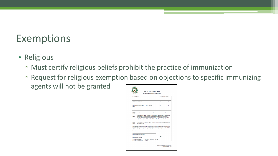### Exemptions

- Religious
	- Must certify religious beliefs prohibit the practice of immunization
	- Request for religious exemption based on objections to specific immunizing agents will not be granted

| Student's Name:                                                                                                                                                                                                                                                                                                                                                                               |                                                                                                                                                                                                                                                                                                                                       |       |                          |
|-----------------------------------------------------------------------------------------------------------------------------------------------------------------------------------------------------------------------------------------------------------------------------------------------------------------------------------------------------------------------------------------------|---------------------------------------------------------------------------------------------------------------------------------------------------------------------------------------------------------------------------------------------------------------------------------------------------------------------------------------|-------|--------------------------|
|                                                                                                                                                                                                                                                                                                                                                                                               |                                                                                                                                                                                                                                                                                                                                       |       | Student's Date of Birth: |
| Student's Home Address:                                                                                                                                                                                                                                                                                                                                                                       |                                                                                                                                                                                                                                                                                                                                       | City  | Zio                      |
| Name of Child Care Facility or<br>School:                                                                                                                                                                                                                                                                                                                                                     | <b>Street Address:</b>                                                                                                                                                                                                                                                                                                                | City  | Zip                      |
| Initials                                                                                                                                                                                                                                                                                                                                                                                      | I understand that if at any time there is, in the opinion of the Department of Health, danger<br>of an outbreak or epidemic from any communicable disease for which immunization is                                                                                                                                                   |       |                          |
| Initials<br>will not be granted.<br>I understand the benefits and risks of the vaccinations my child is required to have for school/child care<br>facility attendance, the risk of my child contracting the diseases that vaccines prevent, and the risk of my<br>child transmitting disease to others. I understand that this form may not be used for personal or<br>philosophical reasons. | required, this exemption from immunization shall not be recognized and my child will be<br>excluded from school or his/her child care facility until the threat of an epidemic is over or<br>he/she receives the proper immunization.<br>I understand that a request for religious exemption based on objections to specific vaccines |       |                          |
| Parent/Guardian Name (please print)                                                                                                                                                                                                                                                                                                                                                           |                                                                                                                                                                                                                                                                                                                                       | Date: |                          |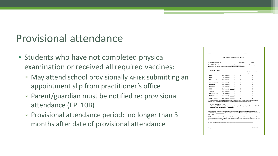#### Provisional attendance

- Students who have not completed physical examination or received all required vaccines:
	- May attend school provisionally AFTER submitting an appointment slip from practitioner's office
	- Parent/guardian must be notified re: provisional attendance (EPI 10B)
	- Provisional attendance period: no longer than 3 months after date of provisional attendance

| School:                                               |                                                                                                                                                                                                                                                                                             | Date: |              |                            |  |
|-------------------------------------------------------|---------------------------------------------------------------------------------------------------------------------------------------------------------------------------------------------------------------------------------------------------------------------------------------------|-------|--------------|----------------------------|--|
|                                                       | PROVISIONAL ENTRANCE NOTICE                                                                                                                                                                                                                                                                 |       |              |                            |  |
|                                                       |                                                                                                                                                                                                                                                                                             |       |              |                            |  |
|                                                       | According to our records, your child is missing the following requirements.                                                                                                                                                                                                                 |       |              |                            |  |
| □ IMMUNIZATIONS                                       |                                                                                                                                                                                                                                                                                             |       |              | Dose does not meet minimum |  |
|                                                       |                                                                                                                                                                                                                                                                                             |       | Missing Dose | age interval requirements  |  |
| <b>DTaP</b>                                           | [Dose Number(s)                                                                                                                                                                                                                                                                             |       | п            | о                          |  |
| Polio                                                 |                                                                                                                                                                                                                                                                                             |       | о            | ▫                          |  |
| <b>Hib</b> (Preschool only)                           | [Dose Number(s) [1]                                                                                                                                                                                                                                                                         |       | п            | n                          |  |
| $PCV$ (Preschool only)                                |                                                                                                                                                                                                                                                                                             |       | □            | □                          |  |
| <b>Hepatitis B</b>                                    |                                                                                                                                                                                                                                                                                             |       | п            | n                          |  |
| <b>Hepatitis A</b>                                    |                                                                                                                                                                                                                                                                                             |       | □            | □                          |  |
| <b>MMR</b>                                            |                                                                                                                                                                                                                                                                                             |       | п            | о                          |  |
| Varicella*                                            | [Dose Number(s) 1                                                                                                                                                                                                                                                                           |       | □            | □                          |  |
| $HPV$ (7 <sup>th</sup> grade only)                    |                                                                                                                                                                                                                                                                                             |       | п            | □                          |  |
| $\textbf{MCV}$ (7 <sup>th</sup> grade only)           | [Dose Number(s) 1                                                                                                                                                                                                                                                                           |       | п.           | п                          |  |
| $T$ dap (7 <sup><math>\alpha</math></sup> grade only) | (Dose Number(s) 1                                                                                                                                                                                                                                                                           |       | п            | о                          |  |
| □ PHYSICAL EXAMINATION                                | registered nurse, or physician's assistant may be substituted for the varicella vaccine requirement.<br>Performed by a U.S. licensed physician, advanced practice registered nurse, or physician's assistant within 12<br>months prior to the date of preschool or school entry.            |       |              |                            |  |
| from school.                                          | Certification that the above requirements have been completed must be submitted to the schools NO<br>LATER THAN ___________________. If certification is not received by this date, your child will be excluded                                                                             |       |              |                            |  |
|                                                       | NOTE: Provisional entrance may be suspended when there is a danger of an epidemic from any communicable<br>disease for which immunization is required. Your child will not be permitted to attend school unless he/she receives<br>the required immunization or until the epidemic is over. |       |              |                            |  |
|                                                       |                                                                                                                                                                                                                                                                                             |       |              |                            |  |
|                                                       |                                                                                                                                                                                                                                                                                             |       |              |                            |  |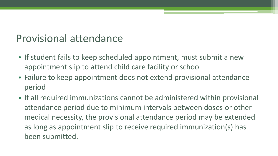### Provisional attendance

- If student fails to keep scheduled appointment, must submit a new appointment slip to attend child care facility or school
- Failure to keep appointment does not extend provisional attendance period
- If all required immunizations cannot be administered within provisional attendance period due to minimum intervals between doses or other medical necessity, the provisional attendance period may be extended as long as appointment slip to receive required immunization(s) has been submitted.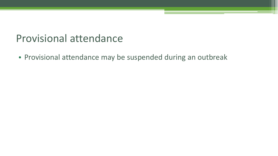#### Provisional attendance

• Provisional attendance may be suspended during an outbreak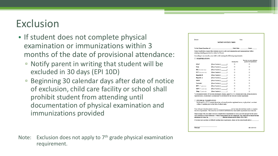# Exclusion

- If student does not complete physical examination or immunizations within 3 months of the date of provisional attendance:
	- Notify parent in writing that student will be excluded in 30 days (EPI 10D)
	- Beginning 30 calendar days after date of notice of exclusion, child care facility or school shall prohibit student from attending until documentation of physical examination and immunizations provided

Note: Exclusion does not apply to 7<sup>th</sup> grade physical examination requirement.

| School:                                          |                                                                                                                                                                                                                                                                                                              |              | Date:                                                   |
|--------------------------------------------------|--------------------------------------------------------------------------------------------------------------------------------------------------------------------------------------------------------------------------------------------------------------------------------------------------------------|--------------|---------------------------------------------------------|
|                                                  | <b>NOTICE OF EXCLUSION</b>                                                                                                                                                                                                                                                                                   |              |                                                         |
|                                                  |                                                                                                                                                                                                                                                                                                              |              |                                                         |
|                                                  | School health laws require that students receive a physical examination and immunizations before<br>entering/attending preschool or school in Hawaii.                                                                                                                                                        |              |                                                         |
|                                                  | According to our records, your child is still missing the following requirements:                                                                                                                                                                                                                            |              |                                                         |
| □ IMMUNIZATIONS                                  |                                                                                                                                                                                                                                                                                                              |              |                                                         |
|                                                  |                                                                                                                                                                                                                                                                                                              | Missing Dose | Dose does not meet minimum<br>age/interval requirements |
| <b>DTaP</b>                                      | [Dose Number(s) _________ ]                                                                                                                                                                                                                                                                                  | п            | п                                                       |
| Polio                                            |                                                                                                                                                                                                                                                                                                              | п            | α                                                       |
| <b>Hib</b> (Preschool only)                      | [Dose Number(s) _________ ]                                                                                                                                                                                                                                                                                  | п            | □                                                       |
| PCV (Preschool only)                             | [Dose Number(s) [11]                                                                                                                                                                                                                                                                                         | п            | п                                                       |
| Hepatitis B                                      | [Dose Number(s) 1                                                                                                                                                                                                                                                                                            | □            | п                                                       |
| <b>Hepatitis A</b>                               | [Dose Number(s) [11]                                                                                                                                                                                                                                                                                         | п            | п                                                       |
| <b>MMR</b>                                       | [Dose Number(s) 1                                                                                                                                                                                                                                                                                            | □            | п                                                       |
| Varicella*                                       | [Dose Number(s) 1                                                                                                                                                                                                                                                                                            | о            | α                                                       |
| $HPV$ (7 <sup><math>\pm</math></sup> grade only) | [Dose Number(s) 1                                                                                                                                                                                                                                                                                            | □            | □                                                       |
| $MCV$ (7 <sup>th</sup> grade only)               | [Dose Number(s) _________ ]                                                                                                                                                                                                                                                                                  | п            | п                                                       |
| $T$ dap ( $7^{\circ}$ grade only)                | [Dose Number(s) 1                                                                                                                                                                                                                                                                                            | □            | п                                                       |
|                                                  | *A documented history of varicella (chickenpox) disease, signed by a U.S. licensed physician, advanced practice<br>registered nurse, or physician's assistant may be substituted for the varicella vaccine requirement.                                                                                      |              |                                                         |
| <b>T PHYSICAL EXAMINATION</b>                    | Performed by a U.S. licensed physician, advanced practice registered nurse, or physician's assistant<br>within 12 months prior to the date of school entry.                                                                                                                                                  |              |                                                         |
|                                                  | the above requirements. The school has not received certification that these health requirements have been met.                                                                                                                                                                                              |              |                                                         |
|                                                  | Please arrange with your child's doctor to complete these requirements as soon as possible and provide the school<br>with certification of their fulfillment. If these requirements are not completed, your child will be denied further<br>attendance at school on (Hawaii Administrative Rules 302A-1162). |              |                                                         |
|                                                  |                                                                                                                                                                                                                                                                                                              |              |                                                         |
|                                                  |                                                                                                                                                                                                                                                                                                              |              |                                                         |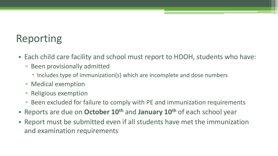# Reporting

- Each child care facility and school must report to HDOH, students who have:
	- Been provisionally admitted
		- Includes type of immunization(s) which are incomplete and dose numbers
	- Medical exemption
	- Religious exemption
	- Been excluded for failure to comply with PE and immunization requirements
- Reports are due on **October 10th** and **January 10th** of each school year
- Report must be submitted even if all students have met the immunization and examination requirements